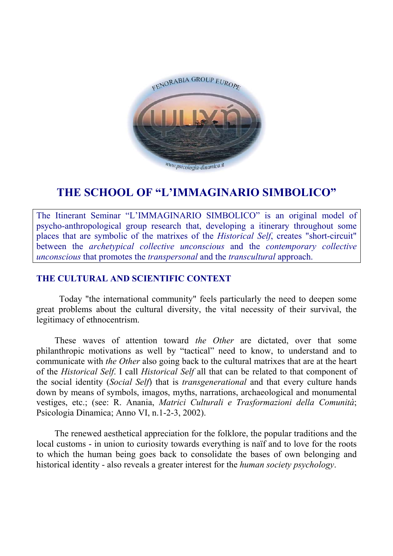

# **THE SCHOOL OF "L'IMMAGINARIO SIMBOLICO"**

The Itinerant Seminar "L'IMMAGINARIO SIMBOLICO" is an original model of psycho-anthropological group research that, developing a itinerary throughout some places that are symbolic of the matrixes of the *Historical Self*, creates "short-circuit" between the *archetypical collective unconscious* and the *contemporary collective unconscious* that promotes the *transpersonal* and the *transcultural* approach.

### **THE CULTURAL AND SCIENTIFIC CONTEXT**

Today "the international community" feels particularly the need to deepen some great problems about the cultural diversity, the vital necessity of their survival, the legitimacy of ethnocentrism.

These waves of attention toward *the Other* are dictated, over that some philanthropic motivations as well by "tactical" need to know, to understand and to communicate with *the Other* also going back to the cultural matrixes that are at the heart of the *Historical Self*. I call *Historical Self* all that can be related to that component of the social identity (*Social Self*) that is *transgenerational* and that every culture hands down by means of symbols, imagos, myths, narrations, archaeological and monumental vestiges, etc.; (see: R. Anania, *Matrici Culturali e Trasformazioni della Comunità*; Psicologia Dinamica; Anno VI, n.1-2-3, 2002).

The renewed aesthetical appreciation for the folklore, the popular traditions and the local customs - in union to curiosity towards everything is naïf and to love for the roots to which the human being goes back to consolidate the bases of own belonging and historical identity - also reveals a greater interest for the *human society psychology*.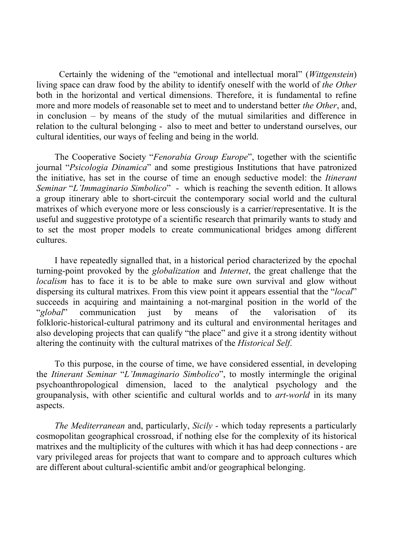Certainly the widening of the "emotional and intellectual moral" (*Wittgenstein*) living space can draw food by the ability to identify oneself with the world of *the Other*  both in the horizontal and vertical dimensions. Therefore, it is fundamental to refine more and more models of reasonable set to meet and to understand better *the Other*, and, in conclusion – by means of the study of the mutual similarities and difference in relation to the cultural belonging - also to meet and better to understand ourselves, our cultural identities, our ways of feeling and being in the world.

The Cooperative Society "*Fenorabia Group Europe*", together with the scientific journal "*Psicologia Dinamica*" and some prestigious Institutions that have patronized the initiative, has set in the course of time an enough seductive model: the *Itinerant Seminar* "*L'Immaginario Simbolico*" - which is reaching the seventh edition. It allows a group itinerary able to short-circuit the contemporary social world and the cultural matrixes of which everyone more or less consciously is a carrier/representative. It is the useful and suggestive prototype of a scientific research that primarily wants to study and to set the most proper models to create communicational bridges among different cultures.

I have repeatedly signalled that, in a historical period characterized by the epochal turning-point provoked by the *globalization* and *Internet*, the great challenge that the *localism* has to face it is to be able to make sure own survival and glow without dispersing its cultural matrixes. From this view point it appears essential that the "*local*" succeeds in acquiring and maintaining a not-marginal position in the world of the "*global*" communication just by means of the valorisation of its folkloric-historical-cultural patrimony and its cultural and environmental heritages and also developing projects that can qualify "the place" and give it a strong identity without altering the continuity with the cultural matrixes of the *Historical Self*.

To this purpose, in the course of time, we have considered essential, in developing the *Itinerant Seminar* "*L'Immaginario Simbolico*", to mostly intermingle the original psychoanthropological dimension, laced to the analytical psychology and the groupanalysis, with other scientific and cultural worlds and to *art-world* in its many aspects.

*The Mediterranean* and, particularly, *Sicily* - which today represents a particularly cosmopolitan geographical crossroad, if nothing else for the complexity of its historical matrixes and the multiplicity of the cultures with which it has had deep connections - are vary privileged areas for projects that want to compare and to approach cultures which are different about cultural-scientific ambit and/or geographical belonging.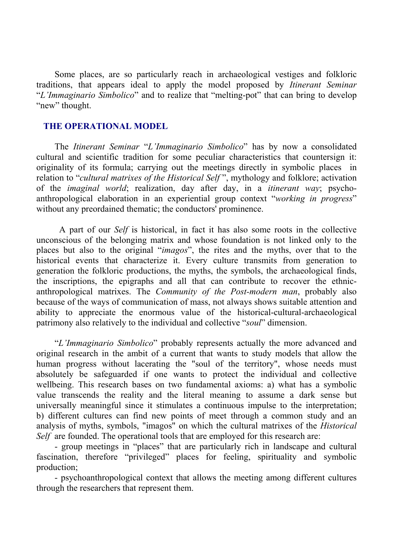Some places, are so particularly reach in archaeological vestiges and folkloric traditions, that appears ideal to apply the model proposed by *Itinerant Seminar*  "*L'Immaginario Simbolico*" and to realize that "melting-pot" that can bring to develop "new" thought.

#### **THE OPERATIONAL MODEL**

The *Itinerant Seminar* "*L'Immaginario Simbolico*" has by now a consolidated cultural and scientific tradition for some peculiar characteristics that countersign it: originality of its formula; carrying out the meetings directly in symbolic places in relation to "*cultural matrixes of the Historical Self* ", mythology and folklore; activation of the *imaginal world*; realization, day after day, in a *itinerant way*; psychoanthropological elaboration in an experiential group context "*working in progress*" without any preordained thematic; the conductors' prominence.

A part of our *Self* is historical, in fact it has also some roots in the collective unconscious of the belonging matrix and whose foundation is not linked only to the places but also to the original "*imagos*", the rites and the myths, over that to the historical events that characterize it. Every culture transmits from generation to generation the folkloric productions, the myths, the symbols, the archaeological finds, the inscriptions, the epigraphs and all that can contribute to recover the ethnicanthropological matrixes. The *Community of the Post-modern man*, probably also because of the ways of communication of mass, not always shows suitable attention and ability to appreciate the enormous value of the historical-cultural-archaeological patrimony also relatively to the individual and collective "*soul*" dimension.

"*L'Immaginario Simbolico*" probably represents actually the more advanced and original research in the ambit of a current that wants to study models that allow the human progress without lacerating the "soul of the territory", whose needs must absolutely be safeguarded if one wants to protect the individual and collective wellbeing. This research bases on two fundamental axioms: a) what has a symbolic value transcends the reality and the literal meaning to assume a dark sense but universally meaningful since it stimulates a continuous impulse to the interpretation; b) different cultures can find new points of meet through a common study and an analysis of myths, symbols, "imagos" on which the cultural matrixes of the *Historical Self* are founded. The operational tools that are employed for this research are:

- group meetings in "places" that are particularly rich in landscape and cultural fascination, therefore "privileged" places for feeling, spirituality and symbolic production;

- psychoanthropological context that allows the meeting among different cultures through the researchers that represent them.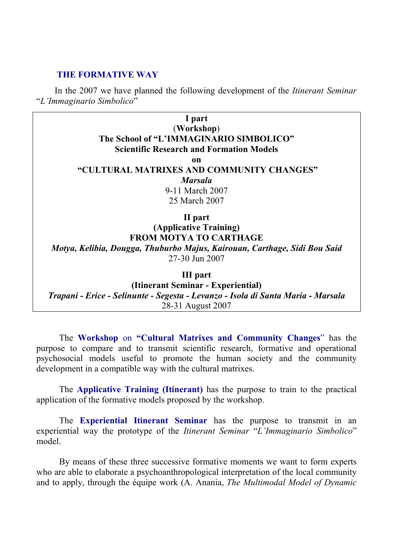#### **THE FORMATIVE WAY**

In the 2007 we have planned the following development of the *Itinerant Seminar*  "*L'Immaginario Simbolico*"

> **I part**  (**Workshop**) **The School of "L'IMMAGINARIO SIMBOLICO" Scientific Research and Formation Models on "CULTURAL MATRIXES AND COMMUNITY CHANGES"**  *Marsala* 9-11 March 2007 25 March 2007

> > **II part**

**(Applicative Training) FROM MOTYA TO CARTHAGE**  *Motya, Kelibia, Dougga, Thuburbo Majus, Kairouan, Carthage, Sidi Bou Said*  27-30 Jun 2007

**III part** 

**(Itinerant Seminar - Experiential)**  *Trapani - Erice - Selinunte - Segesta - Levanzo - Isola di Santa Maria - Marsala*  28-31 August 2007

The **Workshop** on **"Cultural Matrixes and Community Changes**" has the purpose to compare and to transmit scientific research, formative and operational psychosocial models useful to promote the human society and the community development in a compatible way with the cultural matrixes.

The **Applicative Training (Itinerant)** has the purpose to train to the practical application of the formative models proposed by the workshop.

The **Experiential Itinerant Seminar** has the purpose to transmit in an experiential way the prototype of the *Itinerant Seminar* "*L'Immaginario Simbolico*" model.

By means of these three successive formative moments we want to form experts who are able to elaborate a psychoanthropological interpretation of the local community and to apply, through the équipe work (A. Anania, *The Multimodal Model of Dynamic*